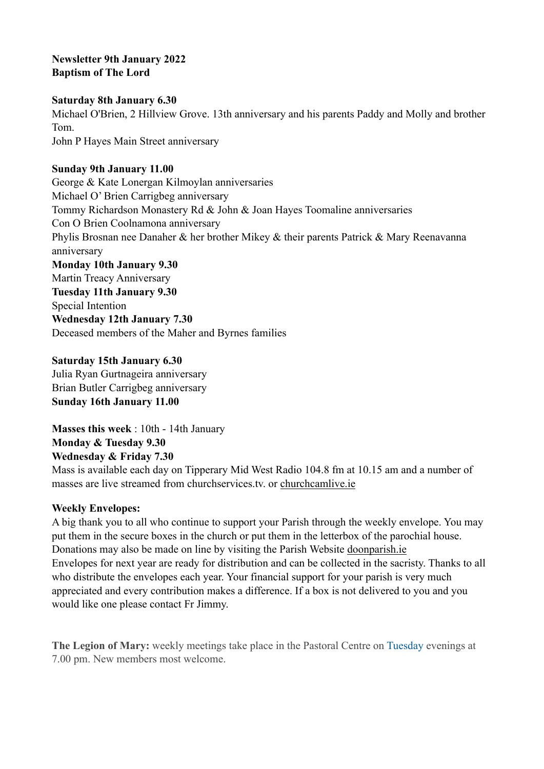### **Newsletter 9th January 2022 Baptism of The Lord**

#### **Saturday 8th January 6.30**

Michael O'Brien, 2 Hillview Grove. 13th anniversary and his parents Paddy and Molly and brother Tom. John P Hayes Main Street anniversary

#### **Sunday 9th January 11.00**

George & Kate Lonergan Kilmoylan anniversaries Michael O' Brien Carrigbeg anniversary Tommy Richardson Monastery Rd & John & Joan Hayes Toomaline anniversaries Con O Brien Coolnamona anniversary Phylis Brosnan nee Danaher & her brother Mikey & their parents Patrick & Mary Reenavanna anniversary **Monday 10th January 9.30**  Martin Treacy Anniversary **Tuesday 11th January 9.30**  Special Intention **Wednesday 12th January 7.30**  Deceased members of the Maher and Byrnes families

**Saturday 15th January 6.30**  Julia Ryan Gurtnageira anniversary Brian Butler Carrigbeg anniversary **Sunday 16th January 11.00** 

**Masses this week** : 10th - 14th January **Monday & Tuesday 9.30 Wednesday & Friday 7.30** 

Mass is available each day on Tipperary Mid West Radio 104.8 fm at 10.15 am and a number of masses are live streamed from churchservices.tv. or [churchcamlive.ie](http://churchcamlive.ie)

#### **Weekly Envelopes:**

A big thank you to all who continue to support your Parish through the weekly envelope. You may put them in the secure boxes in the church or put them in the letterbox of the parochial house. Donations may also be made on line by visiting the Parish Website [doonparish.ie](http://doonparish.ie) Envelopes for next year are ready for distribution and can be collected in the sacristy. Thanks to all who distribute the envelopes each year. Your financial support for your parish is very much appreciated and every contribution makes a difference. If a box is not delivered to you and you would like one please contact Fr Jimmy.

**The Legion of Mary:** weekly meetings take place in the Pastoral Centre on Tuesday evenings at 7.00 pm. New members most welcome.